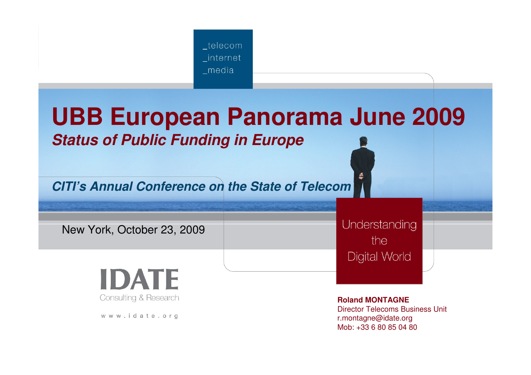

# **UBB European Panorama June 2009Status of Public Funding in Europe**

**CITI's Annual Conference on the State of Telecom**

New York, October 23, 2009

Understanding the Digital World

**IDATE Consulting & Research** 

www.idate.org

**Roland MONTAGNE** Director Telecoms Business Unitr.montagne@idate.orgMob: +33 6 80 85 04 80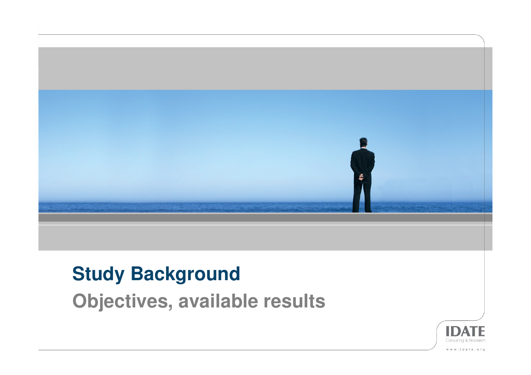

# **Study Background**

**Objectives, available results**

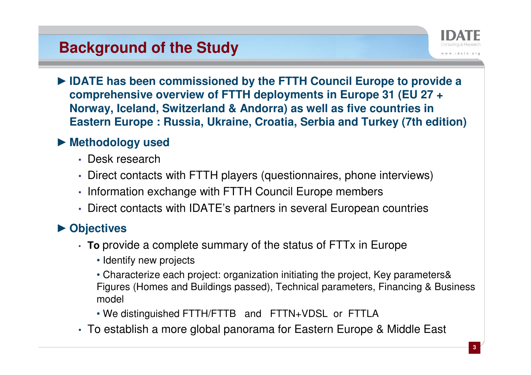### **Background of the Study**



► **IDATE has been commissioned by the FTTH Council Europe to provide a comprehensive overview of FTTH deployments in Europe 31 (EU 27 +Norway, Iceland, Switzerland & Andorra) as well as five countries in Eastern Europe : Russia, Ukraine, Croatia, Serbia and Turkey (7th edition)**

# ► **Methodology used**

- Desk research
- Direct contacts with FTTH players (questionnaires, phone interviews)
- Information exchange with FTTH Council Europe members
- Direct contacts with IDATE's partners in several European countries

# ► **Objectives**

- **To** provide a complete summary of the status of FTTx in Europe
	- Identify new projects
	- Characterize each project: organization initiating the project, Key parameters& Figures (Homes and Buildings passed), Technical parameters, Financing & Business model
	- We distinguished FTTH/FTTB and FTTN+VDSL or FTTLA
- To establish a more global panorama for Eastern Europe & Middle East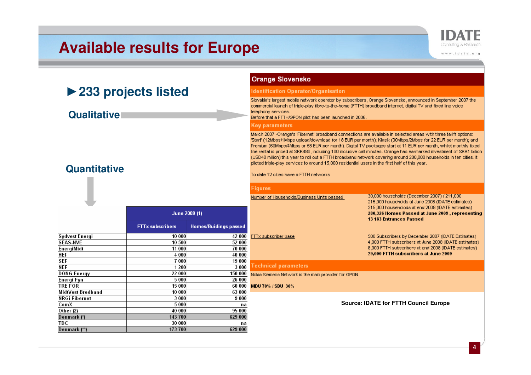| <b>Available results for Europe</b>         |                         |                              |                                                                                                                                                                                                                                                                                                                                                                                                                                                                                                                                                                                                                                                                                                                                                   | www.idate.org                                                                                                                                                                                                                              |  |
|---------------------------------------------|-------------------------|------------------------------|---------------------------------------------------------------------------------------------------------------------------------------------------------------------------------------------------------------------------------------------------------------------------------------------------------------------------------------------------------------------------------------------------------------------------------------------------------------------------------------------------------------------------------------------------------------------------------------------------------------------------------------------------------------------------------------------------------------------------------------------------|--------------------------------------------------------------------------------------------------------------------------------------------------------------------------------------------------------------------------------------------|--|
|                                             |                         |                              | <b>Orange Slovensko</b>                                                                                                                                                                                                                                                                                                                                                                                                                                                                                                                                                                                                                                                                                                                           |                                                                                                                                                                                                                                            |  |
|                                             |                         |                              | <b>Identification Operator/Organisation</b>                                                                                                                                                                                                                                                                                                                                                                                                                                                                                                                                                                                                                                                                                                       |                                                                                                                                                                                                                                            |  |
| ▶ 233 projects listed<br><b>Qualitative</b> |                         |                              | Slovakia's largest mobile network operator by subscribers, Orange Slovensko, announced in September 2007 the<br>commercial launch of triple-play fibre-to-the-home (FTTH) broadband internet, digital TV and fixed line voice<br>telephony services.<br>Before that a FTTH/GPON pilot has been launched in 2006.                                                                                                                                                                                                                                                                                                                                                                                                                                  |                                                                                                                                                                                                                                            |  |
|                                             |                         |                              | Key parameters                                                                                                                                                                                                                                                                                                                                                                                                                                                                                                                                                                                                                                                                                                                                    |                                                                                                                                                                                                                                            |  |
| <b>Quantitative</b>                         |                         |                              | March 2007 -Orange's 'Fibernet' broadband connections are available in selected areas with three tariff options:<br>"Start" (12Mbps/1Mbps upload/download for 18 EUR per month); Klasik (30Mbps/2Mbps for 22 EUR per month); and<br>Premium (60Mbps/4Mbps or 58 EUR per month). Digital TV packages start at 11 EUR per month, whilst monthly fixed<br>line rental is priced at SKK480, including 100 inclusive call minutes. Orange has earmarked investment of SKK1 billion<br>(USD40 million) this year to roll out a FTTH broadband network covering around 200,000 households in ten cities. It<br>piloted triple-play services to around 15,000 residential users in the first half of this year.<br>To date 12 cities have a FTTH networks |                                                                                                                                                                                                                                            |  |
|                                             |                         |                              | Figures                                                                                                                                                                                                                                                                                                                                                                                                                                                                                                                                                                                                                                                                                                                                           |                                                                                                                                                                                                                                            |  |
|                                             | June 2009 (1)           |                              | Number of Households/Business Units passed                                                                                                                                                                                                                                                                                                                                                                                                                                                                                                                                                                                                                                                                                                        | 30,000 households (December 2007) / 211,000<br>215,000 households at June 2008 (IDATE estimates)<br>215,000 householods at end 2008 (IDATE estimates)<br>280,326 Homes Passed at June 2009, representing<br><b>13 183 Entrances Passed</b> |  |
|                                             | <b>FTTx subscribers</b> | <b>Homes/Buidings passed</b> |                                                                                                                                                                                                                                                                                                                                                                                                                                                                                                                                                                                                                                                                                                                                                   |                                                                                                                                                                                                                                            |  |
| Sydvest Energi                              | 10 000                  | 42 000                       | FTTx subscriber base                                                                                                                                                                                                                                                                                                                                                                                                                                                                                                                                                                                                                                                                                                                              | 500 Subscribers by December 2007 (IDATE Estimates)                                                                                                                                                                                         |  |
| <b>SEAS NVE</b><br>EnergiMidt               | 10 500<br>11 000        | 52 000<br>70 000             |                                                                                                                                                                                                                                                                                                                                                                                                                                                                                                                                                                                                                                                                                                                                                   | 4,000 FTTH subscribers at June 2008 (IDATE estimates).<br>8,000 FTTH subscribers at end 2008 (IDATE estimates)                                                                                                                             |  |
| <b>HEF</b>                                  | 4 0 0 0                 | 40 000                       |                                                                                                                                                                                                                                                                                                                                                                                                                                                                                                                                                                                                                                                                                                                                                   | 29,000 FTTH subscribers at June 2009                                                                                                                                                                                                       |  |
| <b>SEF</b>                                  | 7000                    | 19 000                       |                                                                                                                                                                                                                                                                                                                                                                                                                                                                                                                                                                                                                                                                                                                                                   |                                                                                                                                                                                                                                            |  |
| <b>NEF</b>                                  | 1 200                   | 3 000                        | <b>Technical parameters</b>                                                                                                                                                                                                                                                                                                                                                                                                                                                                                                                                                                                                                                                                                                                       |                                                                                                                                                                                                                                            |  |
| <b>DONG Energy</b>                          | 22 000                  | 150 000                      | Nokia Siemens Network is the main provider for GPON.                                                                                                                                                                                                                                                                                                                                                                                                                                                                                                                                                                                                                                                                                              |                                                                                                                                                                                                                                            |  |
| Energi Fyn                                  | 5 0 0 0                 | 26 000                       |                                                                                                                                                                                                                                                                                                                                                                                                                                                                                                                                                                                                                                                                                                                                                   |                                                                                                                                                                                                                                            |  |
| <b>TRE FOR</b>                              | 15 000                  | 60 000                       | MDU 70% / SDU 30%                                                                                                                                                                                                                                                                                                                                                                                                                                                                                                                                                                                                                                                                                                                                 |                                                                                                                                                                                                                                            |  |
| MidtVest Bredband                           | 10 000                  | 63 000                       |                                                                                                                                                                                                                                                                                                                                                                                                                                                                                                                                                                                                                                                                                                                                                   |                                                                                                                                                                                                                                            |  |
| <b>NRGi Fibernet</b>                        | 3 000                   | 9000                         |                                                                                                                                                                                                                                                                                                                                                                                                                                                                                                                                                                                                                                                                                                                                                   | <b>Source: IDATE for FTTH Council Europe</b>                                                                                                                                                                                               |  |
| ComX<br>Other (2)                           | 5 000                   | na                           |                                                                                                                                                                                                                                                                                                                                                                                                                                                                                                                                                                                                                                                                                                                                                   |                                                                                                                                                                                                                                            |  |
|                                             | 40 000                  | 95 000                       |                                                                                                                                                                                                                                                                                                                                                                                                                                                                                                                                                                                                                                                                                                                                                   |                                                                                                                                                                                                                                            |  |
|                                             |                         |                              |                                                                                                                                                                                                                                                                                                                                                                                                                                                                                                                                                                                                                                                                                                                                                   |                                                                                                                                                                                                                                            |  |
| Denmark (*)<br><b>TDC</b>                   | 143 700<br>30 000       | 629 000<br>na                |                                                                                                                                                                                                                                                                                                                                                                                                                                                                                                                                                                                                                                                                                                                                                   |                                                                                                                                                                                                                                            |  |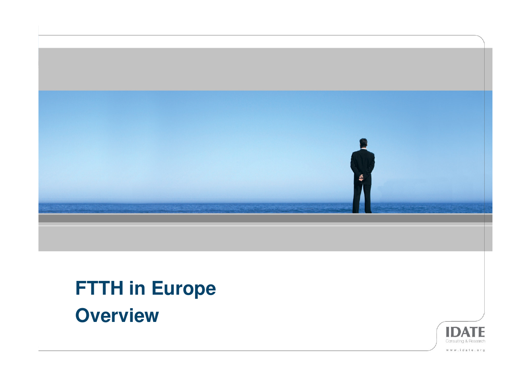

# **FTTH in EuropeOverview**

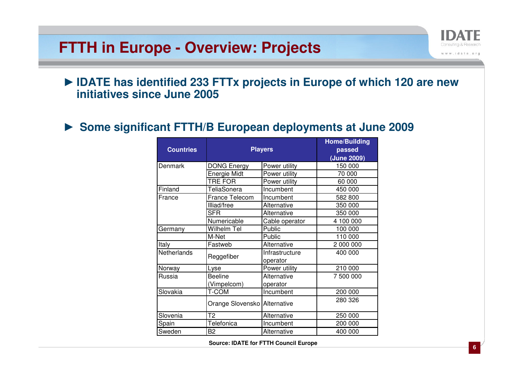#### **FTTH in Europe - Overview: Projects**



► **Some significant FTTH/B European deployments at June 2009**

| <b>Countries</b> | <b>Players</b>               | <b>Home/Building</b><br>passed<br>(June 2009) |           |
|------------------|------------------------------|-----------------------------------------------|-----------|
| Denmark          | DONG Energy                  | Power utility                                 | 150 000   |
|                  | Energie Midt                 | Power utility                                 | 70 000    |
|                  | TRE FOR                      | Power utility                                 | 60 000    |
| Finland          | TeliaSonera                  | Incumbent                                     | 450 000   |
| France           | <b>France Telecom</b>        | Incumbent                                     | 582 800   |
|                  | Illiad/free                  | Alternative                                   | 350 000   |
|                  | <b>SFR</b>                   | Alternative                                   | 350 000   |
|                  | Numericable                  | Cable operator                                | 4 100 000 |
| Germany          | Wilhelm Tel                  | Public                                        | 100 000   |
|                  | M-Net                        | Public                                        | 110 000   |
| Italy            | Fastweb                      | Alternative                                   | 2 000 000 |
| Netherlands      | Reggefiber                   | Infrastructure                                | 400 000   |
|                  |                              | operator                                      |           |
| Norway           | Lyse                         | Power utility                                 | 210 000   |
| Russia           | <b>Beeline</b>               | Alternative                                   | 7 500 000 |
|                  | (Vimpelcom)                  | operator                                      |           |
| Slovakia         | <b>T-COM</b>                 | Incumbent                                     | 200 000   |
|                  | Orange Slovensko Alternative |                                               | 280 326   |
| Slovenia         | Т2                           | Alternative                                   | 250 000   |
| Spain            | Telefonica                   | Incumbent                                     | 200 000   |
| Sweden           | B <sub>2</sub>               | Alternative                                   | 400 000   |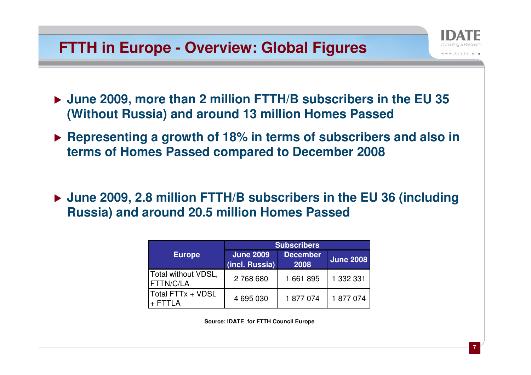#### **FTTH in Europe - Overview: Global Figures**

- **June 2009, more than 2 million FTTH/B subscribers in the EU 35 (Without Russia) and around 13 million Homes Passed**
- **Representing a growth of 18% in terms of subscribers and also in terms of Homes Passed compared to December 2008**
- **June 2009, 2.8 million FTTH/B subscribers in the EU 36 (including Russia) and around 20.5 million Homes Passed**

|                                  | <b>Subscribers</b>                 |                         |                  |  |
|----------------------------------|------------------------------------|-------------------------|------------------|--|
| <b>Europe</b>                    | <b>June 2009</b><br>(incl. Russia) | <b>December</b><br>2008 | <b>June 2008</b> |  |
| Total without VDSL,<br>FTTN/C/LA | 2768680                            | 1661895                 | 1 332 331        |  |
| Total FTTx + VDSL                | 4 695 030                          | 1877074                 | 1877074          |  |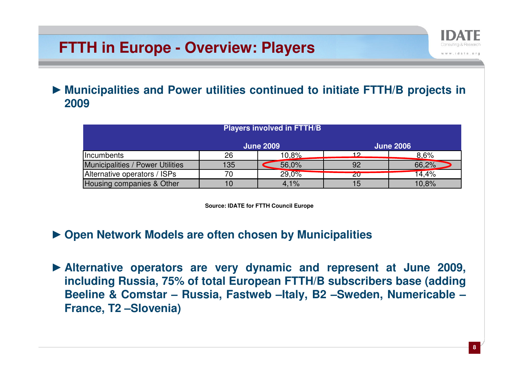### **FTTH in Europe - Overview: Players**



► **Municipalities and Power utilities continued to initiate FTTH/B projects in 2009**

| <b>Players involved in FTTH/B</b> |                  |       |                  |       |  |
|-----------------------------------|------------------|-------|------------------|-------|--|
|                                   | <b>June 2009</b> |       | <b>June 2006</b> |       |  |
| <i><u><b>Incumbents</b></u></i>   | 26               | 10.8% | 12               | 8,6%  |  |
| Municipalities / Power Utilities  | 135              | 56,0% | 92               | 66,2% |  |
| Alternative operators / ISPs      | 70               | 29.0% | zu               | 14,4% |  |
| Housing companies & Other         |                  | 4,1%  | 15               | 10.8% |  |

- ► **Open Network Models are often chosen by Municipalities**
- ► **Alternative operators are very dynamic and represent at June 2009, including Russia, 75% of total European FTTH/B subscribers base (adding Beeline & Comstar – Russia, Fastweb –Italy, B2 –Sweden, Numericable –France, T2 –Slovenia)**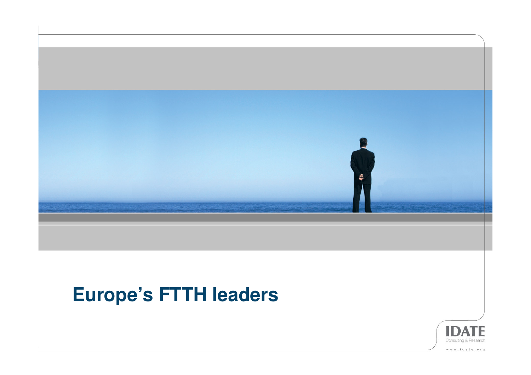

# **Europe's FTTH leaders**

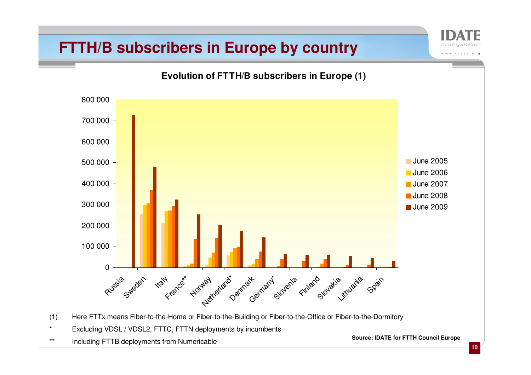#### **FTTH/B subscribers in Europe by country**

**Evolution of FTTH/B subscribers in Europe (1)** $\Omega$ Russia 100 000200 000300 000400 000500 000600 000700 000800 000Sweden **H**ay Y range to paint of the street of the city of the street the spaint **June 2005**  June 2006 June 2007 June 2008June 2009

- (1) Here FTTx means Fiber-to-the-Home or Fiber-to-the-Building or Fiber-to-the-Office or Fiber-to-the-Dormitory
- \* Excluding VDSL / VDSL2, FTTC, FTTN deployments by incumbents
- \*\* Including FTTB deployments from Numericable

**Source: IDATE for FTTH Council Europe**

chi www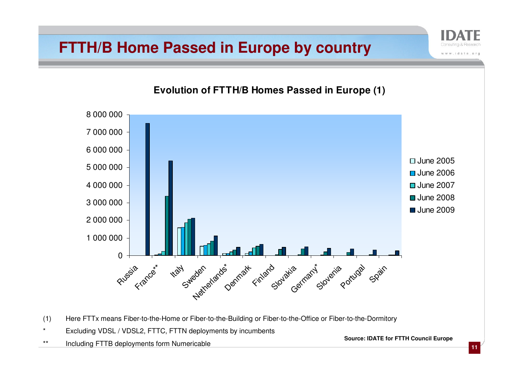#### **FTTH/B Home Passed in Europe by country**

**Evolution of FTTH/B Homes Passed in Europe (1)**0Russia <sub>Krancer</sub>\* 1 000 0002 000 0003 000 0004 000 0005 000 0006 000 0007 000 0008 000 000ttaly den architectura (11 and 11 and 11 and 11 and 11 and 11 and 11 and 11 and 11 and 11 and 11 and 11 and 11 □ June 2005 June 2006 June 2007 June 2008June 2009

- (1) Here FTTx means Fiber-to-the-Home or Fiber-to-the-Building or Fiber-to-the-Office or Fiber-to-the-Dormitory
- \* Excluding VDSL / VDSL2, FTTC, FTTN deployments by incumbents

\*\* Including FTTB deployments form Numericable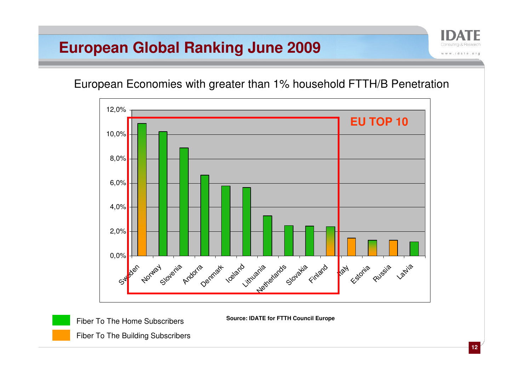#### **European Global Ranking June 2009**

European Economies with greater than 1% household FTTH/B Penetration



**Source: IDATE for FTTH Council Europe**

Fiber To The Home SubscribersFiber To The Building Subscribers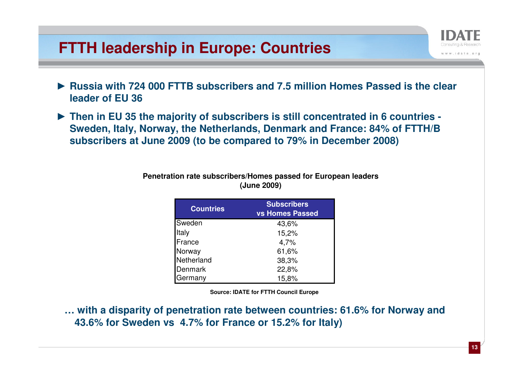#### **FTTH leadership in Europe: Countries**

- ► **Russia with 724 000 FTTB subscribers and 7.5 million Homes Passed is the clear leader of EU 36**
- ► **Then in EU 35 the majority of subscribers is still concentrated in 6 countries - Sweden, Italy, Norway, the Netherlands, Denmark and France: 84% of FTTH/B subscribers at June 2009 (to be compared to 79% in December 2008)**

| <b>Countries</b> | <b>Subscribers</b><br><b>vs Homes Passed</b> |  |  |
|------------------|----------------------------------------------|--|--|
| Sweden           | 43,6%                                        |  |  |
| Italy            | 15,2%                                        |  |  |
| France           | 4,7%                                         |  |  |
| Norway           | 61,6%                                        |  |  |
| Netherland       | 38,3%                                        |  |  |
| Denmark          | 22,8%                                        |  |  |
| Germany          | 15,8%                                        |  |  |

#### **Penetration rate subscribers/Homes passed for European leaders (June 2009)**

**Source: IDATE for FTTH Council Europe**

**… with a disparity of penetration rate between countries: 61.6% for Norway and 43.6% for Sweden vs 4.7% for France or 15.2% for Italy)**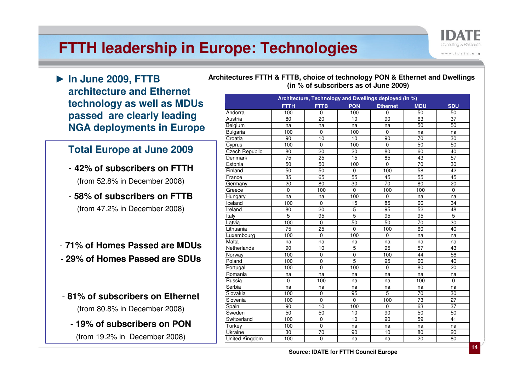### **FTTH leadership in Europe: Technologies**

► **In June 2009, FTTB architecture and Ethernet technology as well as MDUs passed are clearly leading NGA deployments in Europe**

#### **Total Europe at June 2009**

- **42% of subscribers on FTTH**(from 52.8% in December 2008)
- **58% of subscribers on FTTB**(from 47.2% in December 2008)
- **71% of Homes Passed are MDUs**- **29% of Homes Passed are SDUs**
- **81% of subscribers on Ethernet** (from 80.8% in December 2008)
	- **19% of subscribers on PON**(from 19.2% in December 2008)

**Architectures FTTH & FTTB, choice of technology PON & Ethernet and Dwellings (in % of subscribers as of June 2009)**

| Architecture, Technology and Dwellings deployed (in %) |                 |                 |                 |                 |                 |                 |
|--------------------------------------------------------|-----------------|-----------------|-----------------|-----------------|-----------------|-----------------|
|                                                        | <b>FTTH</b>     | <b>FTTB</b>     | <b>PON</b>      | <b>Ethernet</b> | <b>MDU</b>      | <b>SDU</b>      |
| Andorra                                                | 100             | $\mathbf 0$     | 100             | $\mathbf 0$     | 50              | 50              |
| Austria                                                | 80              | 20              | 10              | 90              | 63              | 37              |
| Belgium                                                | na              | na              | na              | na              | 50              | 50              |
| Bulgaria                                               | 100             | 0               | 100             | $\mathbf 0$     | na              | na              |
| Croatia                                                | 90              | 10              | 10              | 90              | 70              | 30              |
| Cyprus                                                 | 100             | $\mathbf 0$     | 100             | $\mathbf 0$     | 50              | 50              |
| <b>Czech Republic</b>                                  | 80              | $\overline{20}$ | 20              | 80              | 60              | 40              |
| Denmark                                                | $\overline{75}$ | 25              | $\overline{15}$ | 85              | 43              | 57              |
| Estonia                                                | 50              | 50              | 100             | $\mathbf 0$     | 70              | 30              |
| Finland                                                | 50              | 50              | $\mathbf 0$     | 100             | 58              | 42              |
| France                                                 | 35              | 65              | 55              | 45              | 55              | 45              |
| Germany                                                | 20              | 80              | 30              | 70              | 80              | 20              |
| Greece                                                 | $\mathbf 0$     | 100             | $\mathbf 0$     | 100             | 100             | $\mathbf 0$     |
| Hungary                                                | na              | na              | 100             | $\mathbf 0$     | na              | na              |
| Iceland                                                | 100             | $\mathbf{0}$    | 15              | 85              | 66              | 34              |
| Ireland                                                | 80              | 20              | $\overline{5}$  | 95              | $\overline{52}$ | 48              |
| <b>Italy</b>                                           | 5               | 95              | $\overline{5}$  | 95              | 95              | 5               |
| Latvia                                                 | 100             | $\overline{0}$  | 50              | 50              | $\overline{70}$ | 30              |
| Lithuania                                              | 75              | 25              | $\mathbf 0$     | 100             | 60              | 40              |
| Luxembourg                                             | 100             | $\mathbf{0}$    | 100             | $\Omega$        | na              | na              |
| Malta                                                  | na              | na              | na              | na              | na              | na              |
| Netherlands                                            | 90              | 10              | $\overline{5}$  | 95              | $\overline{57}$ | 43              |
| Norway                                                 | 100             | $\mathbf 0$     | $\pmb{0}$       | 100             | 44              | 56              |
| Poland                                                 | 100             | $\mathbf 0$     | $\overline{5}$  | 95              | 60              | 40              |
| Portugal                                               | 100             | $\Omega$        | 100             | $\mathbf 0$     | 80              | 20              |
| Romania                                                | na              | na              | na              | na              | na              | na              |
| Russia                                                 | $\mathbf 0$     | 100             | na              | na              | 100             | $\mathbf 0$     |
| Serbia                                                 | na              | na              | na              | na              | na              | na              |
| Slovakia                                               | 100             | $\mathbf 0$     | 95              | $\overline{5}$  | 70              | 30              |
| Slovenia                                               | 100             | $\overline{0}$  | $\overline{0}$  | 100             | $\overline{73}$ | $\overline{27}$ |
| Spain                                                  | 90              | 10              | 100             | 0               | 63              | 37              |
| Sweden                                                 | 50              | 50              | 10              | 90              | 50              | 50              |
| Switzerland                                            | 100             | $\mathbf 0$     | 10              | 90              | 59              | 41              |
| Turkey                                                 | 100             | $\mathbf 0$     | na              | na              | na              | na              |
| Ukraine                                                | 30              | 70              | 90              | 10              | 80              | 20              |
| <b>United Kingdom</b>                                  | 100             | $\overline{0}$  | na              | na              | $\overline{20}$ | $\overline{80}$ |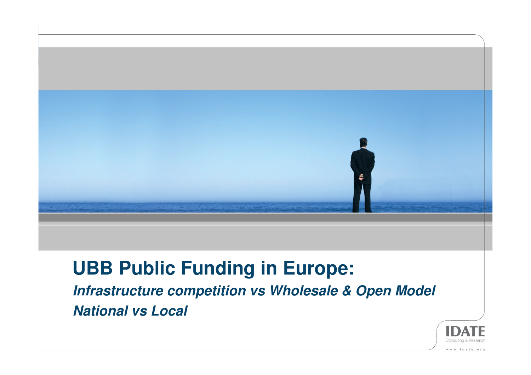

## **UBB Public Funding in Europe:**

**Infrastructure competition vs Wholesale & Open Model National vs Local**

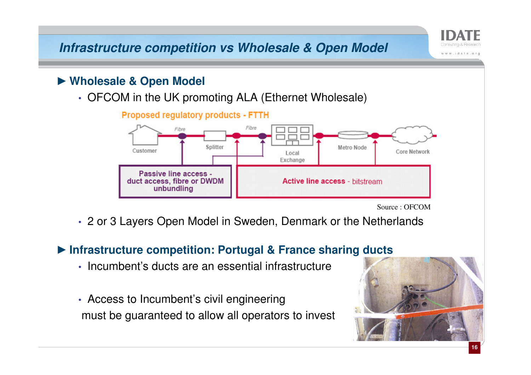**Infrastructure competition vs Wholesale & Open Model**

# ► **Wholesale & Open Model**

• OFCOM in the UK promoting ALA (Ethernet Wholesale)



Source : OFCOM

shi www

• 2 or 3 Layers Open Model in Sweden, Denmark or the Netherlands

# ► **Infrastructure competition: Portugal & France sharing ducts**

- Incumbent's ducts are an essential infrastructure
- Access to Incumbent's civil engineeringmust be guaranteed to allow all operators to invest

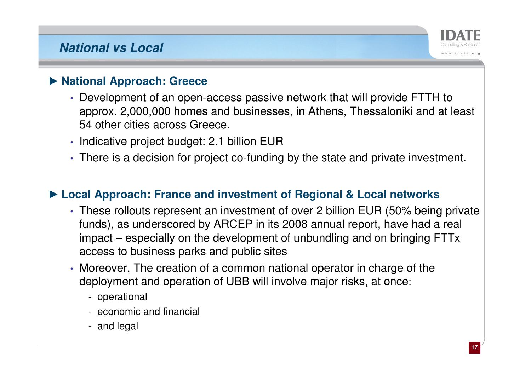#### **National vs Local**



# ► **National Approach: Greece**

- Development of an open-access passive network that will provide FTTH to approx. 2,000,000 homes and businesses, in Athens, Thessaloniki and at least 54 other cities across Greece.
- Indicative project budget: 2.1 billion EUR
- There is a decision for project co-funding by the state and private investment.

# ► **Local Approach: France and investment of Regional & Local networks**

- These rollouts represent an investment of over 2 billion EUR (50% being private funds), as underscored by ARCEP in its 2008 annual report, have had a real impact – especially on the development of unbundling and on bringing FTTxaccess to business parks and public sites
- Moreover, The creation of a common national operator in charge of the deployment and operation of UBB will involve major risks, at once:
	- operational
	- economic and financial
	- and legal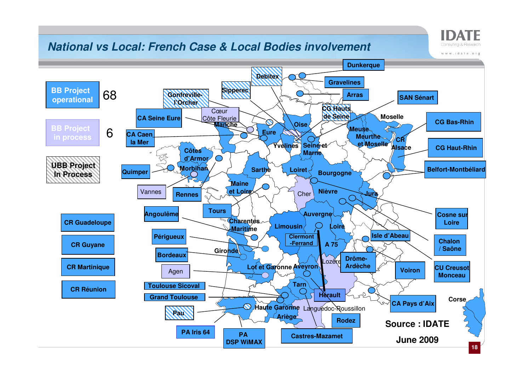